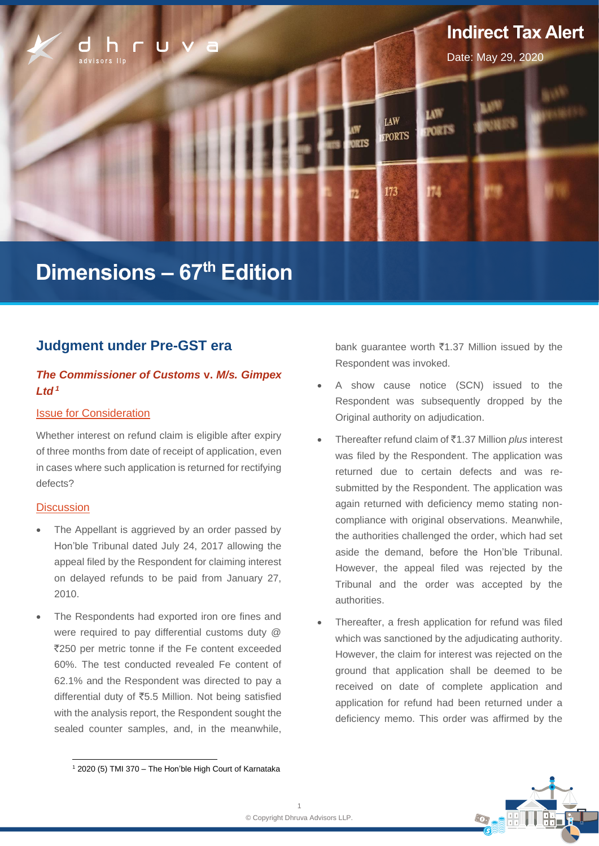

# **Dimensions – 67th Edition**

# **Judgment under Pre-GST era**

## *The Commissioner of Customs* **v.** *M/s. Gimpex Ltd <sup>1</sup>*

## Issue for Consideration

Whether interest on refund claim is eligible after expiry of three months from date of receipt of application, even in cases where such application is returned for rectifying defects?

## **Discussion**

- The Appellant is aggrieved by an order passed by Hon'ble Tribunal dated July 24, 2017 allowing the appeal filed by the Respondent for claiming interest on delayed refunds to be paid from January 27, 2010.
- The Respondents had exported iron ore fines and were required to pay differential customs duty @ `250 per metric tonne if the Fe content exceeded 60%. The test conducted revealed Fe content of 62.1% and the Respondent was directed to pay a differential duty of `5.5 Million. Not being satisfied with the analysis report, the Respondent sought the sealed counter samples, and, in the meanwhile,

bank guarantee worth  $\bar{\tau}$ 1.37 Million issued by the Respondent was invoked.

- A show cause notice (SCN) issued to the Respondent was subsequently dropped by the Original authority on adjudication.
- Thereafter refund claim of `1.37 Million *plus* interest was filed by the Respondent. The application was returned due to certain defects and was resubmitted by the Respondent. The application was again returned with deficiency memo stating noncompliance with original observations. Meanwhile, the authorities challenged the order, which had set aside the demand, before the Hon'ble Tribunal. However, the appeal filed was rejected by the Tribunal and the order was accepted by the authorities.
- Thereafter, a fresh application for refund was filed which was sanctioned by the adjudicating authority. However, the claim for interest was rejected on the ground that application shall be deemed to be received on date of complete application and application for refund had been returned under a deficiency memo. This order was affirmed by the



<sup>1</sup> 2020 (5) TMI 370 – The Hon'ble High Court of Karnataka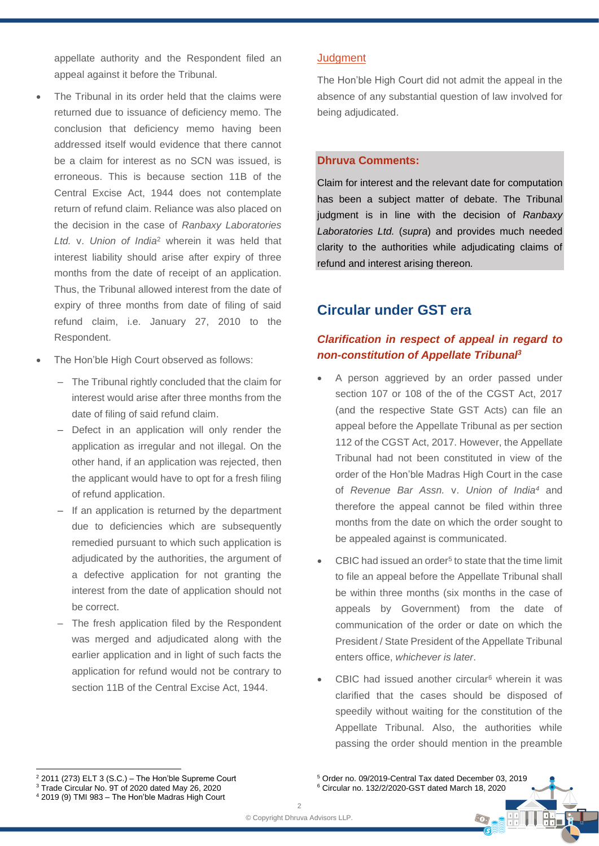appellate authority and the Respondent filed an appeal against it before the Tribunal.

- The Tribunal in its order held that the claims were returned due to issuance of deficiency memo. The conclusion that deficiency memo having been addressed itself would evidence that there cannot be a claim for interest as no SCN was issued, is erroneous. This is because section 11B of the Central Excise Act, 1944 does not contemplate return of refund claim. Reliance was also placed on the decision in the case of *Ranbaxy Laboratories Ltd.* v. *Union of India*<sup>2</sup> wherein it was held that interest liability should arise after expiry of three months from the date of receipt of an application. Thus, the Tribunal allowed interest from the date of expiry of three months from date of filing of said refund claim, i.e. January 27, 2010 to the Respondent.
- The Hon'ble High Court observed as follows:
	- The Tribunal rightly concluded that the claim for interest would arise after three months from the date of filing of said refund claim.
	- ‒ Defect in an application will only render the application as irregular and not illegal. On the other hand, if an application was rejected, then the applicant would have to opt for a fresh filing of refund application.
	- If an application is returned by the department due to deficiencies which are subsequently remedied pursuant to which such application is adjudicated by the authorities, the argument of a defective application for not granting the interest from the date of application should not be correct.
	- The fresh application filed by the Respondent was merged and adjudicated along with the earlier application and in light of such facts the application for refund would not be contrary to section 11B of the Central Excise Act, 1944.

## **Judgment**

The Hon'ble High Court did not admit the appeal in the absence of any substantial question of law involved for being adjudicated.

## **Dhruva Comments:**

Claim for interest and the relevant date for computation has been a subject matter of debate. The Tribunal judgment is in line with the decision of *Ranbaxy Laboratories Ltd.* (*supra*) and provides much needed clarity to the authorities while adjudicating claims of refund and interest arising thereon*.*

# **Circular under GST era**

# *Clarification in respect of appeal in regard to non-constitution of Appellate Tribunal<sup>3</sup>*

- A person aggrieved by an order passed under section 107 or 108 of the of the CGST Act, 2017 (and the respective State GST Acts) can file an appeal before the Appellate Tribunal as per section 112 of the CGST Act, 2017. However, the Appellate Tribunal had not been constituted in view of the order of the Hon'ble Madras High Court in the case of *Revenue Bar Assn.* v. *Union of India<sup>4</sup>* and therefore the appeal cannot be filed within three months from the date on which the order sought to be appealed against is communicated.
- CBIC had issued an order<sup>5</sup> to state that the time limit to file an appeal before the Appellate Tribunal shall be within three months (six months in the case of appeals by Government) from the date of communication of the order or date on which the President / State President of the Appellate Tribunal enters office, *whichever is later*.
- CBIC had issued another circular<sup>6</sup> wherein it was clarified that the cases should be disposed of speedily without waiting for the constitution of the Appellate Tribunal. Also, the authorities while passing the order should mention in the preamble

 $\left( \cdot$   $\circ$  .

<sup>5</sup> Order no. 09/2019-Central Tax dated December 03, 2019 <sup>6</sup> Circular no. 132/2/2020-GST dated March 18, 2020

 $2$  2011 (273) ELT 3 (S.C.) – The Hon'ble Supreme Court

<sup>3</sup> Trade Circular No. 9T of 2020 dated May 26, 2020 <sup>4</sup> 2019 (9) TMI 983 – The Hon'ble Madras High Court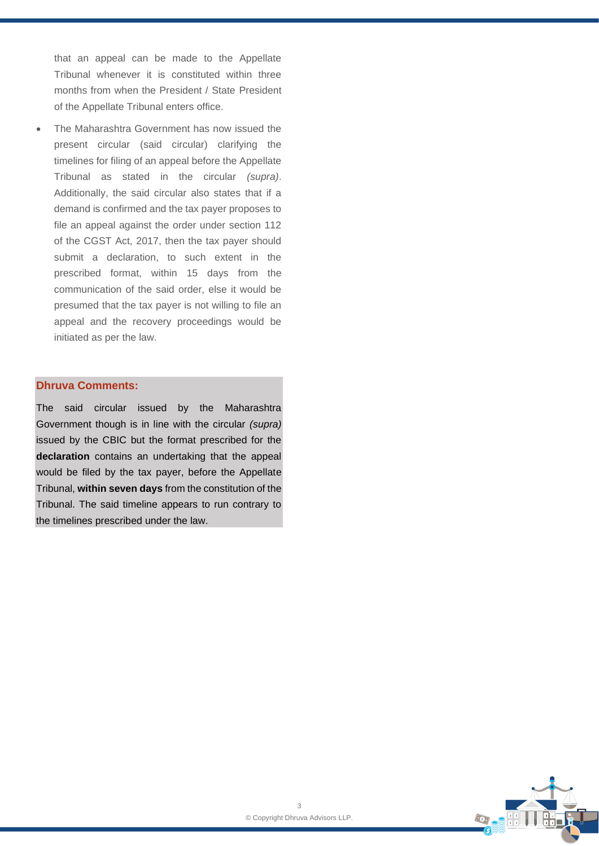that an appeal can be made to the Appellate Tribunal whenever it is constituted within three months from when the President / State President of the Appellate Tribunal enters office.

The Maharashtra Government has now issued the present circular (said circular) clarifying the timelines for filing of an appeal before the Appellate Tribunal as stated in the circular *(supra)*. Additionally, the said circular also states that if a demand is confirmed and the tax payer proposes to file an appeal against the order under section 112 of the CGST Act, 2017, then the tax payer should submit a declaration, to such extent in the prescribed format, within 15 days from the communication of the said order, else it would be presumed that the tax payer is not willing to file an appeal and the recovery proceedings would be initiated as per the law.

## **Dhruva Comments:**

The said circular issued by the Maharashtra Government though is in line with the circular *(supra)* issued by the CBIC but the format prescribed for the **declaration** contains an undertaking that the appeal would be filed by the tax payer, before the Appellate Tribunal, **within seven days** from the constitution of the Tribunal. The said timeline appears to run contrary to the timelines prescribed under the law.